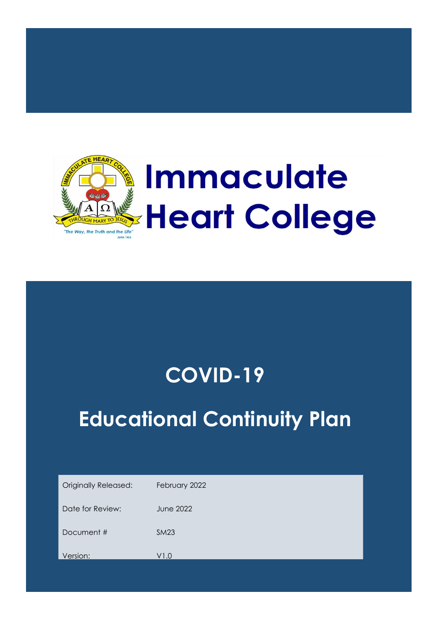

## **COVID-19**

# **Educational Continuity Plan**

| <b>Originally Released:</b> | February 2022    |
|-----------------------------|------------------|
| Date for Review:            | <b>June 2022</b> |
| Document #                  | <b>SM23</b>      |
| Version:                    | V1.0             |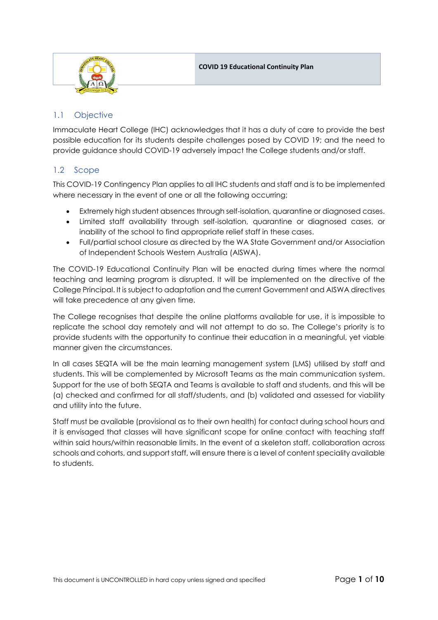

## 1.1 Objective

Immaculate Heart College (IHC) acknowledges that it has a duty of care to provide the best possible education for its students despite challenges posed by COVID 19; and the need to provide guidance should COVID-19 adversely impact the College students and/or staff.

## 1.2 Scope

This COVID-19 Contingency Plan applies to all IHC students and staff and is to be implemented where necessary in the event of one or all the following occurring;

- Extremely high student absences through self-isolation, quarantine or diagnosed cases.
- Limited staff availability through self-isolation, quarantine or diagnosed cases, or inability of the school to find appropriate relief staff in these cases.
- Full/partial school closure as directed by the WA State Government and/or Association of Independent Schools Western Australia (AISWA).

The COVID-19 Educational Continuity Plan will be enacted during times where the normal teaching and learning program is disrupted. It will be implemented on the directive of the College Principal. It is subject to adaptation and the current Government and AISWA directives will take precedence at any given time.

The College recognises that despite the online platforms available for use, it is impossible to replicate the school day remotely and will not attempt to do so. The College's priority is to provide students with the opportunity to continue their education in a meaningful, yet viable manner given the circumstances.

In all cases SEQTA will be the main learning management system (LMS) utilised by staff and students. This will be complemented by Microsoft Teams as the main communication system. Support for the use of both SEQTA and Teams is available to staff and students, and this will be (a) checked and confirmed for all staff/students, and (b) validated and assessed for viability and utility into the future.

Staff must be available (provisional as to their own health) for contact during school hours and it is envisaged that classes will have significant scope for online contact with teaching staff within said hours/within reasonable limits. In the event of a skeleton staff, collaboration across schools and cohorts, and support staff, will ensure there is a level of content speciality available to students.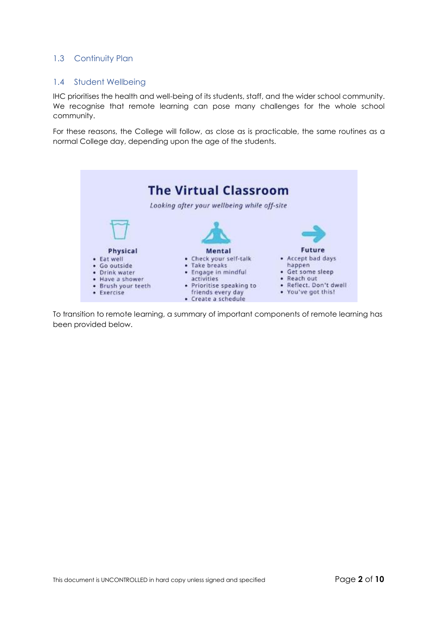## 1.3 Continuity Plan

#### 1.4 Student Wellbeing

IHC prioritises the health and well-being of its students, staff, and the wider school community. We recognise that remote learning can pose many challenges for the whole school community.

For these reasons, the College will follow, as close as is practicable, the same routines as a normal College day, depending upon the age of the students.



To transition to remote learning, a summary of important components of remote learning has been provided below.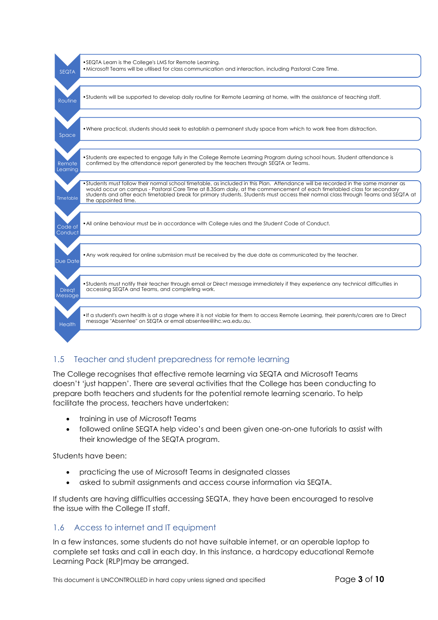

## 1.5 Teacher and student preparedness for remote learning

The College recognises that effective remote learning via SEQTA and Microsoft Teams doesn't 'just happen'. There are several activities that the College has been conducting to prepare both teachers and students for the potential remote learning scenario. To help facilitate the process, teachers have undertaken:

- training in use of Microsoft Teams
- followed online SEQTA help video's and been given one-on-one tutorials to assist with their knowledge of the SEQTA program.

Students have been:

- practicing the use of Microsoft Teams in designated classes
- asked to submit assignments and access course information via SEQTA.

If students are having difficulties accessing SEQTA, they have been encouraged to resolve the issue with the College IT staff.

#### 1.6 Access to internet and IT equipment

In a few instances, some students do not have suitable internet, or an operable laptop to complete set tasks and call in each day. In this instance, a hardcopy educational Remote Learning Pack (RLP)may be arranged.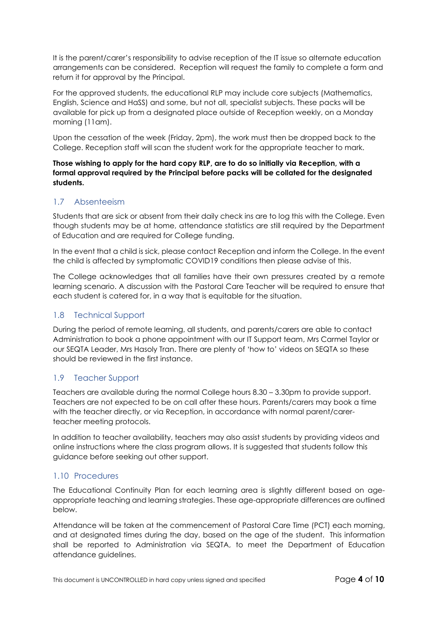It is the parent/carer's responsibility to advise reception of the IT issue so alternate education arrangements can be considered. Reception will request the family to complete a form and return it for approval by the Principal.

For the approved students, the educational RLP may include core subjects (Mathematics, English, Science and HaSS) and some, but not all, specialist subjects. These packs will be available for pick up from a designated place outside of Reception weekly, on a Monday morning (11am).

Upon the cessation of the week (Friday, 2pm), the work must then be dropped back to the College. Reception staff will scan the student work for the appropriate teacher to mark.

**Those wishing to apply for the hard copy RLP, are to do so initially via Reception, with a formal approval required by the Principal before packs will be collated for the designated students.**

## 1.7 Absenteeism

Students that are sick or absent from their daily check ins are to log this with the College. Even though students may be at home, attendance statistics are still required by the Department of Education and are required for College funding.

In the event that a child is sick, please contact Reception and inform the College. In the event the child is affected by symptomatic COVID19 conditions then please advise of this.

The College acknowledges that all families have their own pressures created by a remote learning scenario. A discussion with the Pastoral Care Teacher will be required to ensure that each student is catered for, in a way that is equitable for the situation.

## 1.8 Technical Support

During the period of remote learning, all students, and parents/carers are able to contact Administration to book a phone appointment with our IT Support team, Mrs Carmel Taylor or our SEQTA Leader, Mrs Hasoly Tran. There are plenty of 'how to' videos on SEQTA so these should be reviewed in the first instance.

## 1.9 Teacher Support

Teachers are available during the normal College hours 8.30 – 3.30pm to provide support. Teachers are not expected to be on call after these hours. Parents/carers may book a time with the teacher directly, or via Reception, in accordance with normal parent/carerteacher meeting protocols.

In addition to teacher availability, teachers may also assist students by providing videos and online instructions where the class program allows. It is suggested that students follow this guidance before seeking out other support.

## 1.10 Procedures

The Educational Continuity Plan for each learning area is slightly different based on ageappropriate teaching and learning strategies. These age-appropriate differences are outlined below.

Attendance will be taken at the commencement of Pastoral Care Time (PCT) each morning, and at designated times during the day, based on the age of the student. This information shall be reported to Administration via SEQTA, to meet the Department of Education attendance guidelines.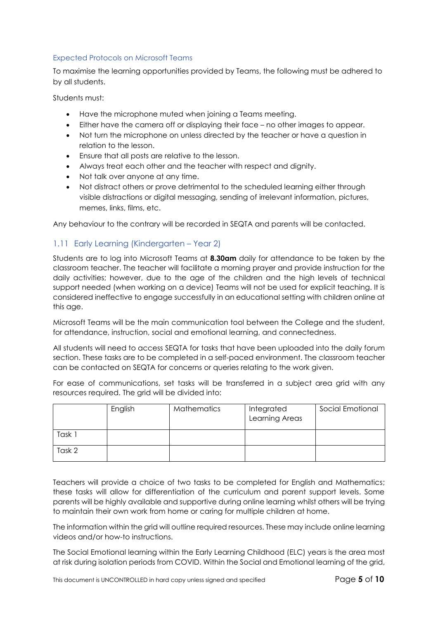#### Expected Protocols on Microsoft Teams

To maximise the learning opportunities provided by Teams, the following must be adhered to by all students.

Students must:

- Have the microphone muted when joining a Teams meeting.
- Either have the camera off or displaying their face no other images to appear.
- Not turn the microphone on unless directed by the teacher or have a question in relation to the lesson.
- Ensure that all posts are relative to the lesson.
- Always treat each other and the teacher with respect and dignity.
- Not talk over anyone at any time.
- Not distract others or prove detrimental to the scheduled learning either through visible distractions or digital messaging, sending of irrelevant information, pictures, memes, links, films, etc.

Any behaviour to the contrary will be recorded in SEQTA and parents will be contacted.

## 1.11 Early Learning (Kindergarten – Year 2)

Students are to log into Microsoft Teams at **8.30am** daily for attendance to be taken by the classroom teacher. The teacher will facilitate a morning prayer and provide instruction for the daily activities; however, due to the age of the children and the high levels of technical support needed (when working on a device) Teams will not be used for explicit teaching. It is considered ineffective to engage successfully in an educational setting with children online at this age.

Microsoft Teams will be the main communication tool between the College and the student, for attendance, instruction, social and emotional learning, and connectedness.

All students will need to access SEQTA for tasks that have been uploaded into the daily forum section. These tasks are to be completed in a self-paced environment. The classroom teacher can be contacted on SEQTA for concerns or queries relating to the work given.

For ease of communications, set tasks will be transferred in a subject area grid with any resources required. The grid will be divided into:

|        | English | <b>Mathematics</b> | Integrated<br>Learning Areas | Social Emotional |
|--------|---------|--------------------|------------------------------|------------------|
| Task 1 |         |                    |                              |                  |
| Task 2 |         |                    |                              |                  |

Teachers will provide a choice of two tasks to be completed for English and Mathematics; these tasks will allow for differentiation of the curriculum and parent support levels. Some parents will be highly available and supportive during online learning whilst others will be trying to maintain their own work from home or caring for multiple children at home.

The information within the grid will outline required resources. These may include online learning videos and/or how-to instructions.

The Social Emotional learning within the Early Learning Childhood (ELC) years is the area most at risk during isolation periods from COVID. Within the Social and Emotional learning of the grid,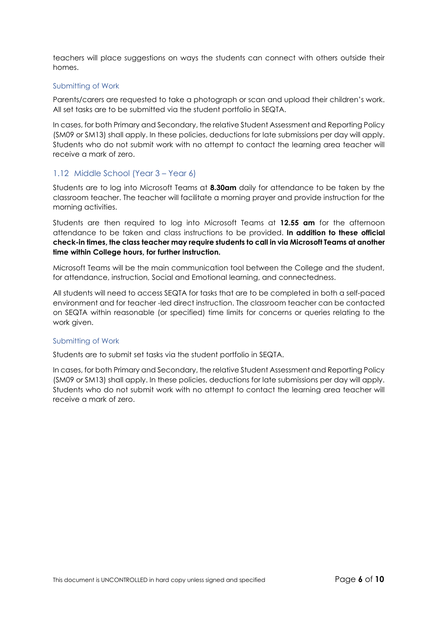teachers will place suggestions on ways the students can connect with others outside their homes.

#### Submitting of Work

Parents/carers are requested to take a photograph or scan and upload their children's work. All set tasks are to be submitted via the student portfolio in SEQTA.

In cases, for both Primary and Secondary, the relative Student Assessment and Reporting Policy (SM09 or SM13) shall apply. In these policies, deductions for late submissions per day will apply. Students who do not submit work with no attempt to contact the learning area teacher will receive a mark of zero.

#### 1.12 Middle School (Year 3 – Year 6)

Students are to log into Microsoft Teams at **8.30am** daily for attendance to be taken by the classroom teacher. The teacher will facilitate a morning prayer and provide instruction for the morning activities.

Students are then required to log into Microsoft Teams at **12.55 am** for the afternoon attendance to be taken and class instructions to be provided. **In addition to these official check-in times, the class teacher may require students to call in via Microsoft Teams at another time within College hours, for further instruction.**

Microsoft Teams will be the main communication tool between the College and the student, for attendance, instruction, Social and Emotional learning, and connectedness.

All students will need to access SEQTA for tasks that are to be completed in both a self-paced environment and for teacher -led direct instruction. The classroom teacher can be contacted on SEQTA within reasonable (or specified) time limits for concerns or queries relating to the work given.

#### Submitting of Work

Students are to submit set tasks via the student portfolio in SEQTA.

In cases, for both Primary and Secondary, the relative Student Assessment and Reporting Policy (SM09 or SM13) shall apply. In these policies, deductions for late submissions per day will apply. Students who do not submit work with no attempt to contact the learning area teacher will receive a mark of zero.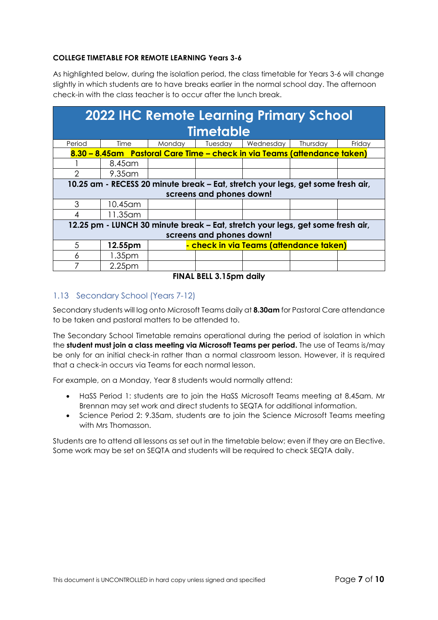## **COLLEGE TIMETABLE FOR REMOTE LEARNING Years 3-6**

As highlighted below, during the isolation period, the class timetable for Years 3-6 will change slightly in which students are to have breaks earlier in the normal school day. The afternoon check-in with the class teacher is to occur after the lunch break.

| <b>2022 IHC Remote Learning Primary School</b> |                                                                                 |        |         |                                                                          |          |        |
|------------------------------------------------|---------------------------------------------------------------------------------|--------|---------|--------------------------------------------------------------------------|----------|--------|
| <b>Timetable</b>                               |                                                                                 |        |         |                                                                          |          |        |
| Period                                         | Time                                                                            | Monday | Tuesday | Wednesday                                                                | Thursday | Friday |
|                                                |                                                                                 |        |         | 8.30 – 8.45am Pastoral Care Time – check in via Teams (attendance taken) |          |        |
|                                                | 8.45 am                                                                         |        |         |                                                                          |          |        |
| 2                                              | 9.35 am                                                                         |        |         |                                                                          |          |        |
|                                                | 10.25 am - RECESS 20 minute break – Eat, stretch your legs, get some fresh air, |        |         |                                                                          |          |        |
|                                                | screens and phones down!                                                        |        |         |                                                                          |          |        |
| 3                                              | 10.45 am                                                                        |        |         |                                                                          |          |        |
|                                                | 11.35 am                                                                        |        |         |                                                                          |          |        |
|                                                | 12.25 pm - LUNCH 30 minute break – Eat, stretch your legs, get some fresh air,  |        |         |                                                                          |          |        |
| screens and phones down!                       |                                                                                 |        |         |                                                                          |          |        |
| 5                                              | 12.55pm                                                                         |        |         | - check in via Teams (attendance taken)                                  |          |        |
| 6                                              | 1.35 <sub>pm</sub>                                                              |        |         |                                                                          |          |        |
|                                                | 2.25 <sub>pm</sub>                                                              |        |         |                                                                          |          |        |

**FINAL BELL 3.15pm daily**

## 1.13 Secondary School (Years 7-12)

Secondary students will log onto Microsoft Teams daily at **8.30am** for Pastoral Care attendance to be taken and pastoral matters to be attended to.

The Secondary School Timetable remains operational during the period of isolation in which the **student must join a class meeting via Microsoft Teams per period.** The use of Teams is/may be only for an initial check-in rather than a normal classroom lesson. However, it is required that a check-in occurs via Teams for each normal lesson.

For example, on a Monday, Year 8 students would normally attend:

- HaSS Period 1: students are to join the HaSS Microsoft Teams meeting at 8.45am. Mr Brennan may set work and direct students to SEQTA for additional information.
- Science Period 2: 9.35am, students are to join the Science Microsoft Teams meeting with Mrs Thomasson.

Students are to attend all lessons as set out in the timetable below; even if they are an Elective. Some work may be set on SEQTA and students will be required to check SEQTA daily.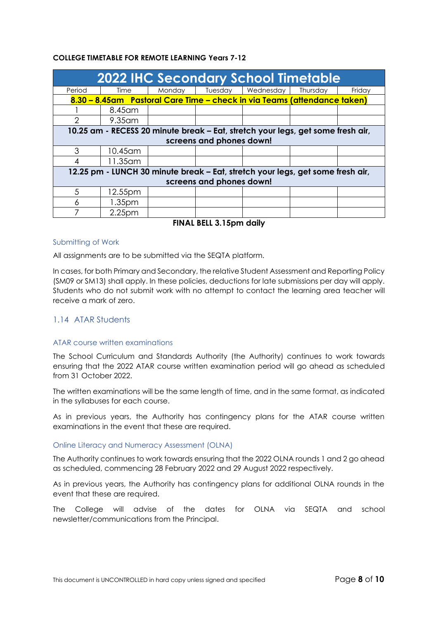#### **COLLEGE TIMETABLE FOR REMOTE LEARNING Years 7-12**

| <b>2022 IHC Secondary School Timetable</b> |                                                                                |        |                          |                                                                                 |          |        |
|--------------------------------------------|--------------------------------------------------------------------------------|--------|--------------------------|---------------------------------------------------------------------------------|----------|--------|
| Period                                     | Time                                                                           | Monday | Tuesday                  | Wednesday                                                                       | Thursday | Friday |
|                                            |                                                                                |        |                          | 8.30 – 8.45am Pastoral Care Time – check in via Teams (attendance taken)        |          |        |
|                                            | 8.45 am                                                                        |        |                          |                                                                                 |          |        |
|                                            | $9.35$ am                                                                      |        |                          |                                                                                 |          |        |
|                                            |                                                                                |        |                          | 10.25 am - RECESS 20 minute break – Eat, stretch your legs, get some fresh air, |          |        |
|                                            |                                                                                |        | screens and phones down! |                                                                                 |          |        |
| 3                                          | 10.45 am                                                                       |        |                          |                                                                                 |          |        |
|                                            | 11.35 am                                                                       |        |                          |                                                                                 |          |        |
|                                            | 12.25 pm - LUNCH 30 minute break – Eat, stretch your legs, get some fresh air, |        |                          |                                                                                 |          |        |
| screens and phones down!                   |                                                                                |        |                          |                                                                                 |          |        |
| .5                                         | 12.55pm                                                                        |        |                          |                                                                                 |          |        |
| 6                                          | 1.35 <sub>pm</sub>                                                             |        |                          |                                                                                 |          |        |
|                                            | 2.25 <sub>pm</sub>                                                             |        |                          |                                                                                 |          |        |

**FINAL BELL 3.15pm daily**

#### Submitting of Work

All assignments are to be submitted via the SEQTA platform.

In cases, for both Primary and Secondary, the relative Student Assessment and Reporting Policy (SM09 or SM13) shall apply. In these policies, deductions for late submissions per day will apply. Students who do not submit work with no attempt to contact the learning area teacher will receive a mark of zero.

### 1.14 ATAR Students

#### ATAR course written examinations

The School Curriculum and Standards Authority (the Authority) continues to work towards ensuring that the 2022 ATAR course written examination period will go ahead as scheduled from 31 October 2022.

The written examinations will be the same length of time, and in the same format, as indicated in the syllabuses for each course.

As in previous years, the Authority has contingency plans for the ATAR course written examinations in the event that these are required.

#### Online Literacy and Numeracy Assessment (OLNA)

The Authority continues to work towards ensuring that the 2022 OLNA rounds 1 and 2 go ahead as scheduled, commencing 28 February 2022 and 29 August 2022 respectively.

As in previous years, the Authority has contingency plans for additional OLNA rounds in the event that these are required.

The College will advise of the dates for OLNA via SEQTA and school newsletter/communications from the Principal.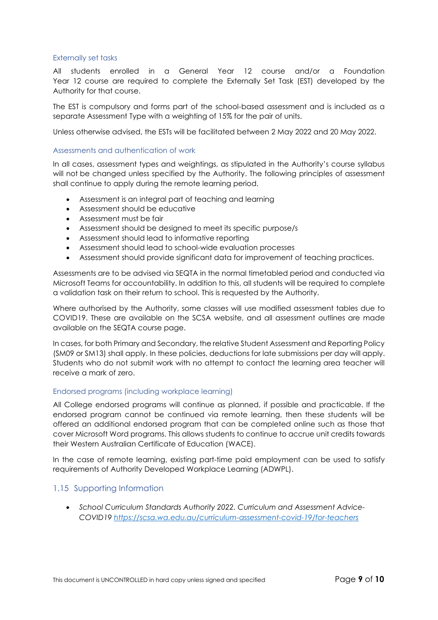#### Externally set tasks

All students enrolled in a General Year 12 course and/or a Foundation Year 12 course are required to complete the Externally Set Task (EST) developed by the Authority for that course.

The EST is compulsory and forms part of the school-based assessment and is included as a separate Assessment Type with a weighting of 15% for the pair of units.

Unless otherwise advised, the ESTs will be facilitated between 2 May 2022 and 20 May 2022.

#### Assessments and authentication of work

In all cases, assessment types and weightings, as stipulated in the Authority's course syllabus will not be changed unless specified by the Authority. The following principles of assessment shall continue to apply during the remote learning period.

- Assessment is an integral part of teaching and learning
- Assessment should be educative
- Assessment must be fair
- Assessment should be designed to meet its specific purpose/s
- Assessment should lead to informative reporting
- Assessment should lead to school-wide evaluation processes
- Assessment should provide significant data for improvement of teaching practices.

Assessments are to be advised via SEQTA in the normal timetabled period and conducted via Microsoft Teams for accountability. In addition to this, all students will be required to complete a validation task on their return to school. This is requested by the Authority.

Where authorised by the Authority, some classes will use modified assessment tables due to COVID19. These are available on the SCSA website, and all assessment outlines are made available on the SEQTA course page.

In cases, for both Primary and Secondary, the relative Student Assessment and Reporting Policy (SM09 or SM13) shall apply. In these policies, deductions for late submissions per day will apply. Students who do not submit work with no attempt to contact the learning area teacher will receive a mark of zero.

#### Endorsed programs (including workplace learning)

All College endorsed programs will continue as planned, if possible and practicable. If the endorsed program cannot be continued via remote learning, then these students will be offered an additional endorsed program that can be completed online such as those that cover Microsoft Word programs. This allows students to continue to accrue unit credits towards their Western Australian Certificate of Education (WACE).

In the case of remote learning, existing part-time paid employment can be used to satisfy requirements of Authority Developed Workplace Learning (ADWPL).

#### 1.15 Supporting Information

• *School Curriculum Standards Authority 2022. Curriculum and Assessment Advice-COVID19<https://scsa.wa.edu.au/curriculum-assessment-covid-19/for-teachers>*